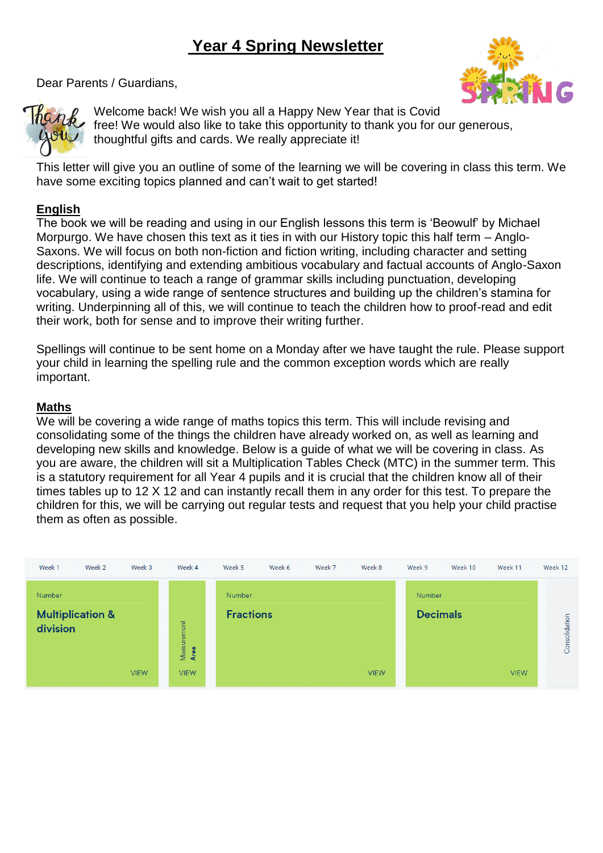# **Year 4 Spring Newsletter**



Dear Parents / Guardians,

Welcome back! We wish you all a Happy New Year that is Covid free! We would also like to take this opportunity to thank you for our generous, thoughtful gifts and cards. We really appreciate it!

This letter will give you an outline of some of the learning we will be covering in class this term. We have some exciting topics planned and can't wait to get started!

# **English**

The book we will be reading and using in our English lessons this term is 'Beowulf' by Michael Morpurgo. We have chosen this text as it ties in with our History topic this half term – Anglo-Saxons. We will focus on both non-fiction and fiction writing, including character and setting descriptions, identifying and extending ambitious vocabulary and factual accounts of Anglo-Saxon life. We will continue to teach a range of grammar skills including punctuation, developing vocabulary, using a wide range of sentence structures and building up the children's stamina for writing. Underpinning all of this, we will continue to teach the children how to proof-read and edit their work, both for sense and to improve their writing further.

Spellings will continue to be sent home on a Monday after we have taught the rule. Please support your child in learning the spelling rule and the common exception words which are really important.

# **Maths**

We will be covering a wide range of maths topics this term. This will include revising and consolidating some of the things the children have already worked on, as well as learning and developing new skills and knowledge. Below is a guide of what we will be covering in class. As you are aware, the children will sit a Multiplication Tables Check (MTC) in the summer term. This is a statutory requirement for all Year 4 pupils and it is crucial that the children know all of their times tables up to 12 X 12 and can instantly recall them in any order for this test. To prepare the children for this, we will be carrying out regular tests and request that you help your child practise them as often as possible.

| Week 1<br>Week 2<br>Week 3                             | Week 4                             | Week 5<br>Week 6<br>Week 7<br>Week 8 | Week 9<br>Week 10<br>Week 11   | Week 12       |
|--------------------------------------------------------|------------------------------------|--------------------------------------|--------------------------------|---------------|
| Number                                                 |                                    | Number                               | Number                         |               |
| <b>Multiplication &amp;</b><br>division<br><b>VIEW</b> | Measurement<br>Area<br><b>VIEW</b> | <b>Fractions</b><br><b>VIEW</b>      | <b>Decimals</b><br><b>VIEW</b> | Consolidation |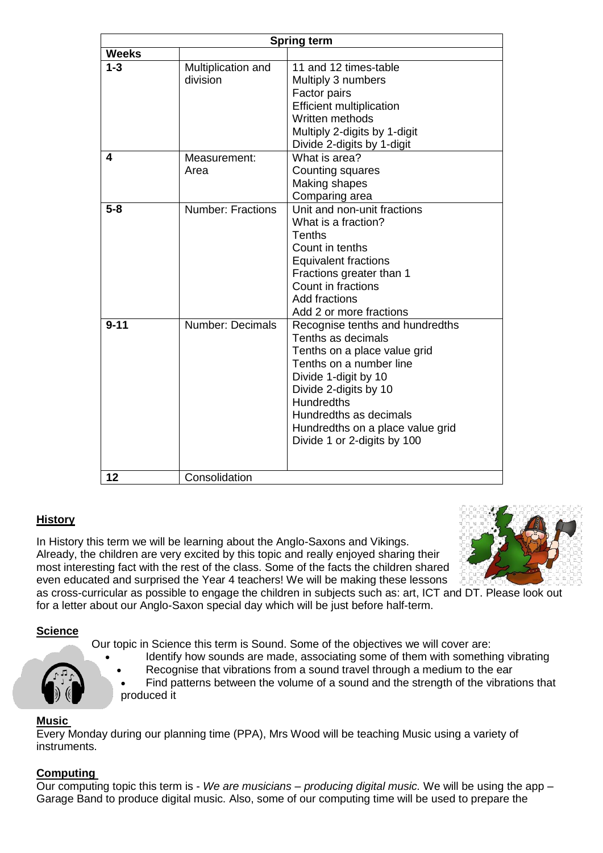| <b>Spring term</b> |                                                        |                                                                                                                                                                                                                                                                                     |  |  |
|--------------------|--------------------------------------------------------|-------------------------------------------------------------------------------------------------------------------------------------------------------------------------------------------------------------------------------------------------------------------------------------|--|--|
| <b>Weeks</b>       |                                                        |                                                                                                                                                                                                                                                                                     |  |  |
| $1 - 3$<br>4       | Multiplication and<br>division<br>Measurement:<br>Area | 11 and 12 times-table<br>Multiply 3 numbers<br>Factor pairs<br><b>Efficient multiplication</b><br>Written methods<br>Multiply 2-digits by 1-digit<br>Divide 2-digits by 1-digit<br>What is area?<br>Counting squares<br>Making shapes                                               |  |  |
|                    |                                                        | Comparing area                                                                                                                                                                                                                                                                      |  |  |
| $5 - 8$            | <b>Number: Fractions</b>                               | Unit and non-unit fractions<br>What is a fraction?<br>Tenths<br>Count in tenths<br><b>Equivalent fractions</b><br>Fractions greater than 1<br>Count in fractions<br>Add fractions<br>Add 2 or more fractions                                                                        |  |  |
| $9 - 11$           | Number: Decimals                                       | Recognise tenths and hundredths<br>Tenths as decimals<br>Tenths on a place value grid<br>Tenths on a number line<br>Divide 1-digit by 10<br>Divide 2-digits by 10<br><b>Hundredths</b><br>Hundredths as decimals<br>Hundredths on a place value grid<br>Divide 1 or 2-digits by 100 |  |  |
| 12                 | Consolidation                                          |                                                                                                                                                                                                                                                                                     |  |  |

# **History**

In History this term we will be learning about the Anglo-Saxons and Vikings. Already, the children are very excited by this topic and really enjoyed sharing their most interesting fact with the rest of the class. Some of the facts the children shared even educated and surprised the Year 4 teachers! We will be making these lessons



as cross-curricular as possible to engage the children in subjects such as: art, ICT and DT. Please look out for a letter about our Anglo-Saxon special day which will be just before half-term.

# **Science**

Our topic in Science this term is Sound. Some of the objectives we will cover are:

- Identify how sounds are made, associating some of them with something vibrating
	- Recognise that vibrations from a sound travel through a medium to the ear
- Find patterns between the volume of a sound and the strength of the vibrations that produced it

# **Music**

Every Monday during our planning time (PPA), Mrs Wood will be teaching Music using a variety of instruments.

# **Computing**

Our computing topic this term is - *We are musicians – producing digital music.* We will be using the app – Garage Band to produce digital music. Also, some of our computing time will be used to prepare the